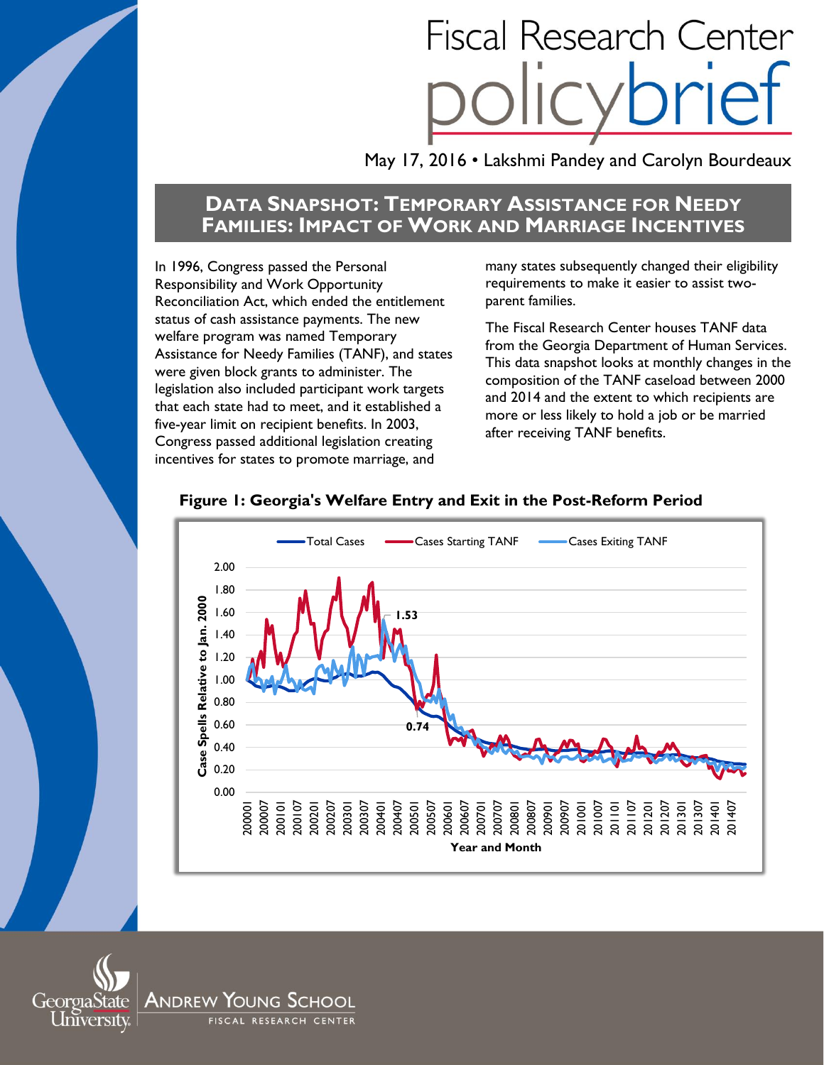# **Fiscal Research Center**

May 17, 2016 • Lakshmi Pandey and Carolyn Bourdeaux

# **DATA SNAPSHOT: TEMPORARY ASSISTANCE FOR NEEDY FAMILIES: IMPACT OF WORK AND MARRIAGE INCENTIVES**

In 1996, Congress passed the Personal Responsibility and Work Opportunity Reconciliation Act, which ended the entitlement status of cash assistance payments. The new welfare program was named Temporary Assistance for Needy Families (TANF), and states were given block grants to administer. The legislation also included participant work targets that each state had to meet, and it established a five-year limit on recipient benefits. In 2003, Congress passed additional legislation creating incentives for states to promote marriage, and

many states subsequently changed their eligibility requirements to make it easier to assist twoparent families.

The Fiscal Research Center houses TANF data from the Georgia Department of Human Services. This data snapshot looks at monthly changes in the composition of the TANF caseload between 2000 and 2014 and the extent to which recipients are more or less likely to hold a job or be married after receiving TANF benefits.



# **Figure 1: Georgia's Welfare Entry and Exit in the Post-Reform Period**

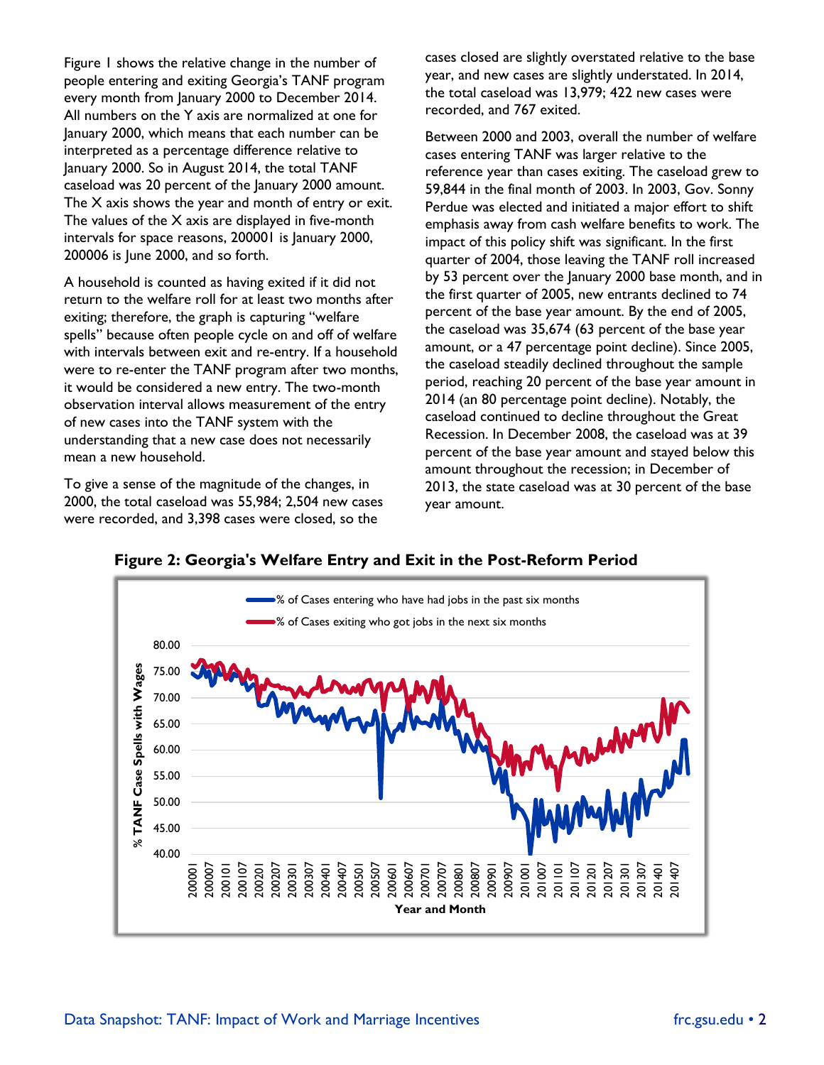Figure 1 shows the relative change in the number of people entering and exiting Georgia's TANF program every month from January 2000 to December 2014. All numbers on the Y axis are normalized at one for January 2000, which means that each number can be interpreted as a percentage difference relative to January 2000. So in August 2014, the total TANF caseload was 20 percent of the January 2000 amount. The X axis shows the year and month of entry or exit. The values of the X axis are displayed in five-month intervals for space reasons, 200001 is January 2000, 200006 is June 2000, and so forth.

A household is counted as having exited if it did not return to the welfare roll for at least two months after exiting; therefore, the graph is capturing "welfare spells" because often people cycle on and off of welfare with intervals between exit and re-entry. If a household were to re-enter the TANF program after two months, it would be considered a new entry. The two-month observation interval allows measurement of the entry of new cases into the TANF system with the understanding that a new case does not necessarily mean a new household.

To give a sense of the magnitude of the changes, in 2000, the total caseload was 55,984; 2,504 new cases were recorded, and 3,398 cases were closed, so the

cases closed are slightly overstated relative to the base year, and new cases are slightly understated. In 2014, the total caseload was 13,979; 422 new cases were recorded, and 767 exited.

Between 2000 and 2003, overall the number of welfare cases entering TANF was larger relative to the reference year than cases exiting. The caseload grew to 59,844 in the final month of 2003. In 2003, Gov. Sonny Perdue was elected and initiated a major effort to shift emphasis away from cash welfare benefits to work. The impact of this policy shift was significant. In the first quarter of 2004, those leaving the TANF roll increased by 53 percent over the January 2000 base month, and in the first quarter of 2005, new entrants declined to 74 percent of the base year amount. By the end of 2005, the caseload was 35,674 (63 percent of the base year amount, or a 47 percentage point decline). Since 2005, the caseload steadily declined throughout the sample period, reaching 20 percent of the base year amount in 2014 (an 80 percentage point decline). Notably, the caseload continued to decline throughout the Great Recession. In December 2008, the caseload was at 39 percent of the base year amount and stayed below this amount throughout the recession; in December of 2013, the state caseload was at 30 percent of the base year amount.



**Figure 2: Georgia's Welfare Entry and Exit in the Post-Reform Period**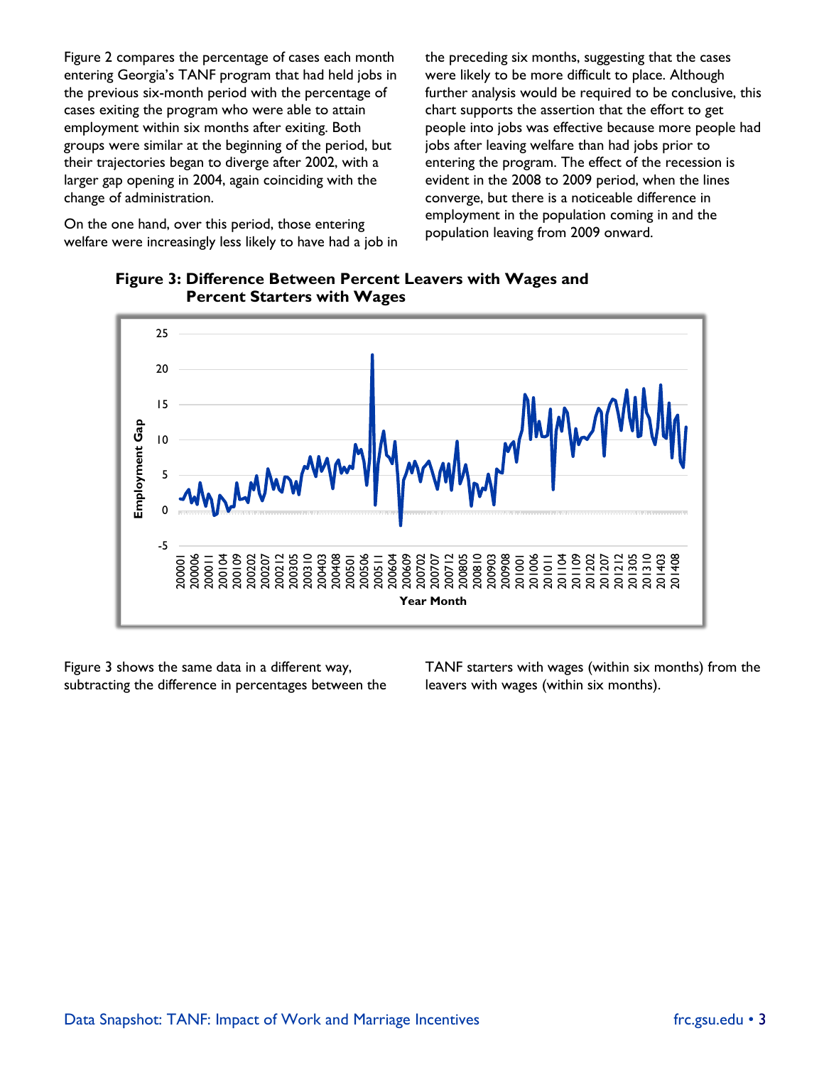Figure 2 compares the percentage of cases each month entering Georgia's TANF program that had held jobs in the previous six-month period with the percentage of cases exiting the program who were able to attain employment within six months after exiting. Both groups were similar at the beginning of the period, but their trajectories began to diverge after 2002, with a larger gap opening in 2004, again coinciding with the change of administration.

On the one hand, over this period, those entering welfare were increasingly less likely to have had a job in the preceding six months, suggesting that the cases were likely to be more difficult to place. Although further analysis would be required to be conclusive, this chart supports the assertion that the effort to get people into jobs was effective because more people had jobs after leaving welfare than had jobs prior to entering the program. The effect of the recession is evident in the 2008 to 2009 period, when the lines converge, but there is a noticeable difference in employment in the population coming in and the population leaving from 2009 onward.



**Figure 3: Difference Between Percent Leavers with Wages and Percent Starters with Wages**

Figure 3 shows the same data in a different way, subtracting the difference in percentages between the TANF starters with wages (within six months) from the leavers with wages (within six months).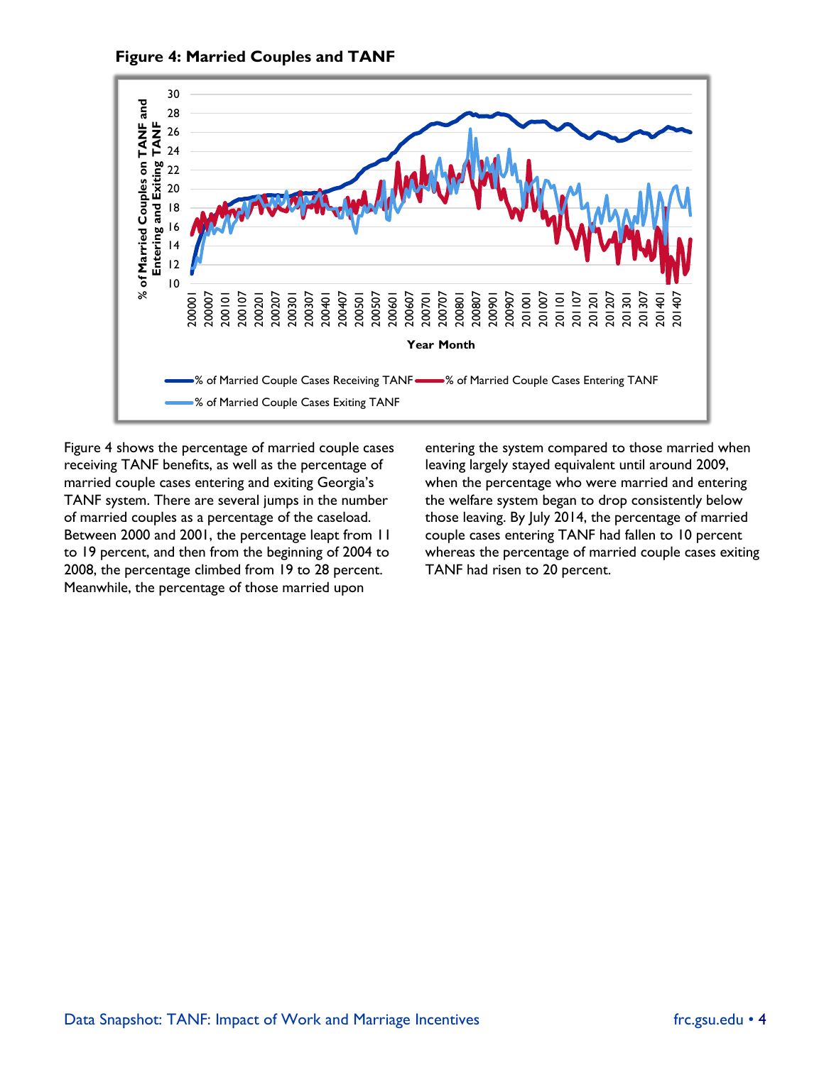

**Figure 4: Married Couples and TANF**

Figure 4 shows the percentage of married couple cases receiving TANF benefits, as well as the percentage of married couple cases entering and exiting Georgia's TANF system. There are several jumps in the number of married couples as a percentage of the caseload. Between 2000 and 2001, the percentage leapt from 11 to 19 percent, and then from the beginning of 2004 to 2008, the percentage climbed from 19 to 28 percent. Meanwhile, the percentage of those married upon

entering the system compared to those married when leaving largely stayed equivalent until around 2009, when the percentage who were married and entering the welfare system began to drop consistently below those leaving. By July 2014, the percentage of married couple cases entering TANF had fallen to 10 percent whereas the percentage of married couple cases exiting TANF had risen to 20 percent.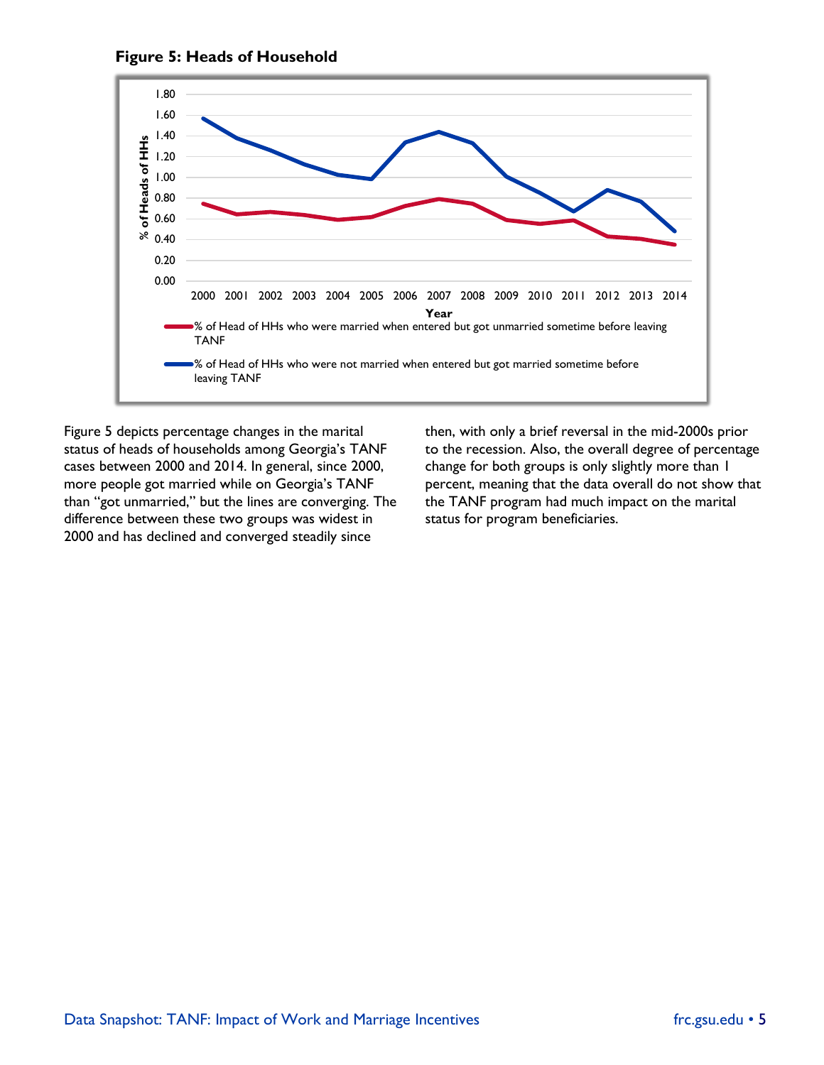

**Figure 5: Heads of Household**

Figure 5 depicts percentage changes in the marital status of heads of households among Georgia's TANF cases between 2000 and 2014. In general, since 2000, more people got married while on Georgia's TANF than "got unmarried," but the lines are converging. The difference between these two groups was widest in 2000 and has declined and converged steadily since

then, with only a brief reversal in the mid-2000s prior to the recession. Also, the overall degree of percentage change for both groups is only slightly more than 1 percent, meaning that the data overall do not show that the TANF program had much impact on the marital status for program beneficiaries.